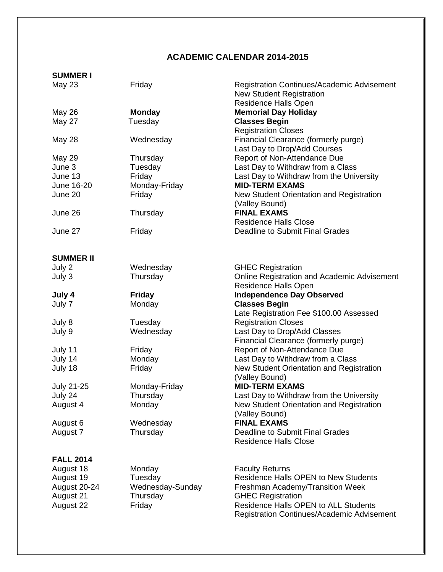## **ACADEMIC CALENDAR 2014-2015**

## **SUMMER I**

| <b>May 23</b>    | Friday           | Registration Continues/Academic Advisement<br><b>New Student Registration</b> |
|------------------|------------------|-------------------------------------------------------------------------------|
|                  |                  | Residence Halls Open                                                          |
| <b>May 26</b>    | <b>Monday</b>    | <b>Memorial Day Holiday</b>                                                   |
| May 27           | Tuesday          | <b>Classes Begin</b><br><b>Registration Closes</b>                            |
| May 28           | Wednesday        | Financial Clearance (formerly purge)<br>Last Day to Drop/Add Courses          |
| May 29           | Thursday         | Report of Non-Attendance Due                                                  |
| June 3           | Tuesday          | Last Day to Withdraw from a Class                                             |
| June 13          | Friday           | Last Day to Withdraw from the University                                      |
| June 16-20       | Monday-Friday    | <b>MID-TERM EXAMS</b>                                                         |
| June 20          | Friday           | New Student Orientation and Registration<br>(Valley Bound)                    |
| June 26          | Thursday         | <b>FINAL EXAMS</b>                                                            |
|                  |                  | <b>Residence Halls Close</b>                                                  |
| June 27          | Friday           | Deadline to Submit Final Grades                                               |
| <b>SUMMER II</b> |                  |                                                                               |
| July 2           | Wednesday        | <b>GHEC Registration</b>                                                      |
| July 3           | Thursday         | Online Registration and Academic Advisement                                   |
|                  |                  | Residence Halls Open                                                          |
| July 4           | <b>Friday</b>    | <b>Independence Day Observed</b>                                              |
| July 7           | Monday           | <b>Classes Begin</b>                                                          |
|                  |                  | Late Registration Fee \$100.00 Assessed                                       |
| July 8           | Tuesday          | <b>Registration Closes</b>                                                    |
| July 9           | Wednesday        | Last Day to Drop/Add Classes                                                  |
|                  |                  | Financial Clearance (formerly purge)                                          |
| July 11          | Friday           | Report of Non-Attendance Due                                                  |
| July 14          | Monday           | Last Day to Withdraw from a Class                                             |
| July 18          | Friday           | New Student Orientation and Registration                                      |
|                  |                  | (Valley Bound)                                                                |
| July 21-25       | Monday-Friday    | <b>MID-TERM EXAMS</b>                                                         |
| July 24          | Thursday         | Last Day to Withdraw from the University                                      |
| August 4         | Monday           | New Student Orientation and Registration                                      |
|                  |                  | (Valley Bound)                                                                |
| August 6         | Wednesday        | <b>FINAL EXAMS</b>                                                            |
| August 7         | Thursday         | <b>Deadline to Submit Final Grades</b>                                        |
|                  |                  | <b>Residence Halls Close</b>                                                  |
| <b>FALL 2014</b> |                  |                                                                               |
| August 18        | Monday           | <b>Faculty Returns</b>                                                        |
| August 19        | Tuesday          | <b>Residence Halls OPEN to New Students</b>                                   |
| August 20-24     | Wednesday-Sunday | Freshman Academy/Transition Week                                              |
| August 21        | Thursday         | <b>GHEC Registration</b>                                                      |
| August 22        | Friday           | <b>Residence Halls OPEN to ALL Students</b>                                   |
|                  |                  | <b>Registration Continues/Academic Advisement</b>                             |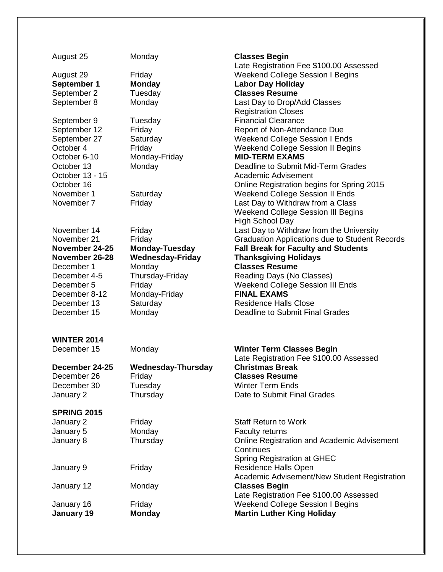| August 25                | Monday                    | <b>Classes Begin</b><br>Late Registration Fee \$100.00 Assessed             |
|--------------------------|---------------------------|-----------------------------------------------------------------------------|
| August 29                | Friday                    | <b>Weekend College Session I Begins</b>                                     |
| September 1              | <b>Monday</b>             | <b>Labor Day Holiday</b>                                                    |
| September 2              | Tuesday                   | <b>Classes Resume</b>                                                       |
| September 8              | Monday                    | Last Day to Drop/Add Classes                                                |
|                          |                           | <b>Registration Closes</b>                                                  |
| September 9              | Tuesday                   | <b>Financial Clearance</b>                                                  |
| September 12             | Friday                    | Report of Non-Attendance Due                                                |
| September 27             | Saturday                  | <b>Weekend College Session I Ends</b>                                       |
| October 4                | Friday                    | <b>Weekend College Session II Begins</b>                                    |
| October 6-10             | Monday-Friday             | <b>MID-TERM EXAMS</b>                                                       |
| October 13               | Monday                    | Deadline to Submit Mid-Term Grades                                          |
| October 13 - 15          |                           | <b>Academic Advisement</b>                                                  |
| October 16<br>November 1 |                           | Online Registration begins for Spring 2015                                  |
| November 7               | Saturday<br>Friday        | <b>Weekend College Session II Ends</b><br>Last Day to Withdraw from a Class |
|                          |                           | <b>Weekend College Session III Begins</b>                                   |
|                          |                           | <b>High School Day</b>                                                      |
| November 14              | Friday                    | Last Day to Withdraw from the University                                    |
| November 21              | Friday                    | <b>Graduation Applications due to Student Records</b>                       |
| November 24-25           | <b>Monday-Tuesday</b>     | <b>Fall Break for Faculty and Students</b>                                  |
| November 26-28           | <b>Wednesday-Friday</b>   | <b>Thanksgiving Holidays</b>                                                |
| December 1               | Monday                    | <b>Classes Resume</b>                                                       |
| December 4-5             | Thursday-Friday           | Reading Days (No Classes)                                                   |
| December 5               | Friday                    | <b>Weekend College Session III Ends</b>                                     |
| December 8-12            | Monday-Friday             | <b>FINAL EXAMS</b>                                                          |
| December 13              | Saturday                  | <b>Residence Halls Close</b>                                                |
| December 15              | Monday                    | <b>Deadline to Submit Final Grades</b>                                      |
| <b>WINTER 2014</b>       |                           |                                                                             |
| December 15              | Monday                    | <b>Winter Term Classes Begin</b>                                            |
|                          |                           | Late Registration Fee \$100.00 Assessed                                     |
| December 24-25           | <b>Wednesday-Thursday</b> | <b>Christmas Break</b>                                                      |
| December 26              | Friday                    | <b>Classes Resume</b>                                                       |
| December 30<br>January 2 | Tuesday<br>Thursday       | <b>Winter Term Ends</b><br>Date to Submit Final Grades                      |
|                          |                           |                                                                             |
| <b>SPRING 2015</b>       |                           |                                                                             |
| January 2                | Friday                    | <b>Staff Return to Work</b>                                                 |
| January 5                | Monday                    | <b>Faculty returns</b>                                                      |
| January 8                | Thursday                  | Online Registration and Academic Advisement                                 |
|                          |                           | Continues                                                                   |
|                          |                           | Spring Registration at GHEC                                                 |
| January 9                | Friday                    | Residence Halls Open                                                        |
|                          |                           | Academic Advisement/New Student Registration                                |
| January 12               | Monday                    | <b>Classes Begin</b><br>Late Registration Fee \$100.00 Assessed             |
| January 16               | Friday                    | <b>Weekend College Session I Begins</b>                                     |
| January 19               | <b>Monday</b>             | <b>Martin Luther King Holiday</b>                                           |
|                          |                           |                                                                             |